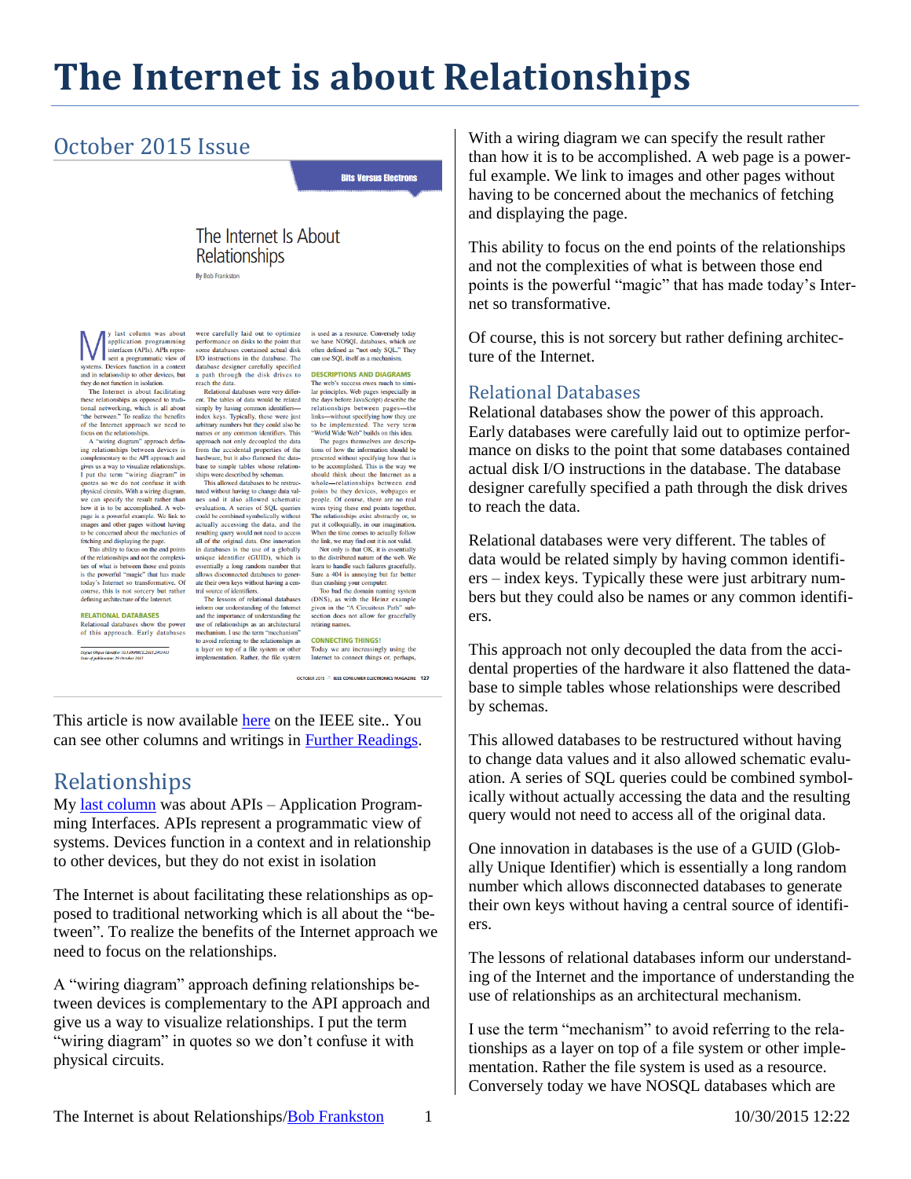# **The Internet is about Relationships**

## October 2015 Issue

**Bits Versus Electrons** 

### The Internet Is About Relationships

By Bob Frankston

v last column was about y tast column was about<br>application programming<br>interfaces (APIs). APIs repre-<br>sent a programmatic view of systems. Devices function in a context and in relationship to other devices, but they do not function in isolation. The Internet is about facilitating

The Internet is about lactuating<br>the relationships as opposed to tradi-<br>tional networking, which is all about<br>"the between." To realize the benefits<br>of the linerate approach we need to<br>focus on the relationships.<br>Comparent

complementary to the API approach and<br>gives us a way to visualize relationships. gives us a way to visualize relationships.<br>I put the term "wiring diagram" in<br>quotes so we do not confuse it with<br>physical circuits. With a wiring diagram,<br>we can specify the result rather than<br>how it is to be accomplished page is a powerful example. We link to images and other pages without having<br>to be concerned about the mechanics of fetching and displaying the page.<br>This ability to focus on the end points

This ability to focus on the end points<br>of the relationships and not the complexi-<br>ties of what is between those end points<br>is the powerful "magic" that has made<br>today's Internet so transformative. Of<br>course, this is not s defining architecture of the Internet

#### **RELATIONAL DATABASES** Relational databases show the power<br>of this approach. Early databases

-<br>Digital Object Identifier 10.1109/MCE.2015.2463413<br>Date of publication: 29 October 2015

were carefully laid out to optimize were carefully laid out to optimize<br>performance on disks to the point that<br>some databases contained actual disk<br>I/O instructions in the database. The database designer carefully specified<br>a path through the disk drives to reach the data

Relational databases were very different. The tables of data would be related ent. The tables of data would be related<br>simply by having common identifies—<br>index keys. Typically, these were just<br>arbitrary numbers but they could also be<br>names or any common identifiers. This<br>approach not only decoupled from the accidental properties of the<br>hardware, but it also flattened the database to simple tables whose relation-<br>ships were described by schemas.

This allowed databa ses to be restruc-Inis allowed databases to be restructured without having to change data values<br>and it also allowed schematic<br>evaluation. A series of SQL queries could be combined symbolically without actually accessing the data, and the resulting query would not need to access all of the original data. One innovation all of the original data. One innovation<br>in databases is the use of a globally<br>unique identifier (GUID), which is<br>essentially a long random number that<br>allows disconnected databases to generate their own keys without havi

and the importance of understanding the and the importance of understanding the<br>use of relationships as an architectural<br>mechanism. I use the term "mechanism"<br>to avoid referring to the relationships as<br>a layer on top of a file system or other<br>implementation. Rat is used as a resource. Conversely loady<br>we have NOSQL databases, which are<br>often defined as "not only SQL." They<br>can use SQL itself as a mechanism. **DESCRIPTIONS AND DIAGRAMS** The web's success owes much to simi-

ource. Conversely today

is used as a rea

lar principles. Web pages (especially in lar principles. Were pages (especially in<br>the days before JavaScript) describe the<br>relationships between pages—the<br>links—without specifying how they are<br>to be implemented. The very term<br>"World Wide Web" builds on this diea

presented without specifying how that is to be accomplished. This is the way we should think about the Internet as a should think about the Internet as a<br>whole—relationships between end<br>points be they devices, webpages or<br>people. Of course, there are no real<br>wires tying these end points together.<br>The relationships exist abstractly or, to put it colloquially, in our imagination.<br>When the time comes to actually follow the link, we may find out it is not valid.

the link, we may find out it is not valid.<br>Not only is that OK, it is essentially<br>to the distributed nature of the web. We<br>to the distributed nature of the web. We<br>Sure a 404 is annoying but far better<br>than crashing your

section does not allow for gracefully retiring names.

**CONNECTING THINGS!** Today we are increasingly using the<br>Internet to connect things or, perhaps, OCTOBER 2015 A JEEE CONSUMER ELECTRONICS MAGAZINE 127

This article is now available [here](http://ieeexplore.ieee.org/stamp/stamp.jsp?tp=&arnumber=7308168) on the IEEE site.. You can see other columns and writings in [Further Readings.](http://rmf.vc/FurtherReadings)

### Relationships

My [last column](http://rmf.vc/IEEEAPIFirst) was about APIs – Application Programming Interfaces. APIs represent a programmatic view of systems. Devices function in a context and in relationship to other devices, but they do not exist in isolation

The Internet is about facilitating these relationships as opposed to traditional networking which is all about the "between". To realize the benefits of the Internet approach we need to focus on the relationships.

A "wiring diagram" approach defining relationships between devices is complementary to the API approach and give us a way to visualize relationships. I put the term "wiring diagram" in quotes so we don't confuse it with physical circuits.

With a wiring diagram we can specify the result rather than how it is to be accomplished. A web page is a powerful example. We link to images and other pages without having to be concerned about the mechanics of fetching and displaying the page.

This ability to focus on the end points of the relationships and not the complexities of what is between those end points is the powerful "magic" that has made today's Internet so transformative.

Of course, this is not sorcery but rather defining architecture of the Internet.

#### Relational Databases

Relational databases show the power of this approach. Early databases were carefully laid out to optimize performance on disks to the point that some databases contained actual disk I/O instructions in the database. The database designer carefully specified a path through the disk drives to reach the data.

Relational databases were very different. The tables of data would be related simply by having common identifiers – index keys. Typically these were just arbitrary numbers but they could also be names or any common identifiers.

This approach not only decoupled the data from the accidental properties of the hardware it also flattened the database to simple tables whose relationships were described by schemas.

This allowed databases to be restructured without having to change data values and it also allowed schematic evaluation. A series of SQL queries could be combined symbolically without actually accessing the data and the resulting query would not need to access all of the original data.

One innovation in databases is the use of a GUID (Globally Unique Identifier) which is essentially a long random number which allows disconnected databases to generate their own keys without having a central source of identifiers.

The lessons of relational databases inform our understanding of the Internet and the importance of understanding the use of relationships as an architectural mechanism.

I use the term "mechanism" to avoid referring to the relationships as a layer on top of a file system or other implementation. Rather the file system is used as a resource. Conversely today we have NOSQL databases which are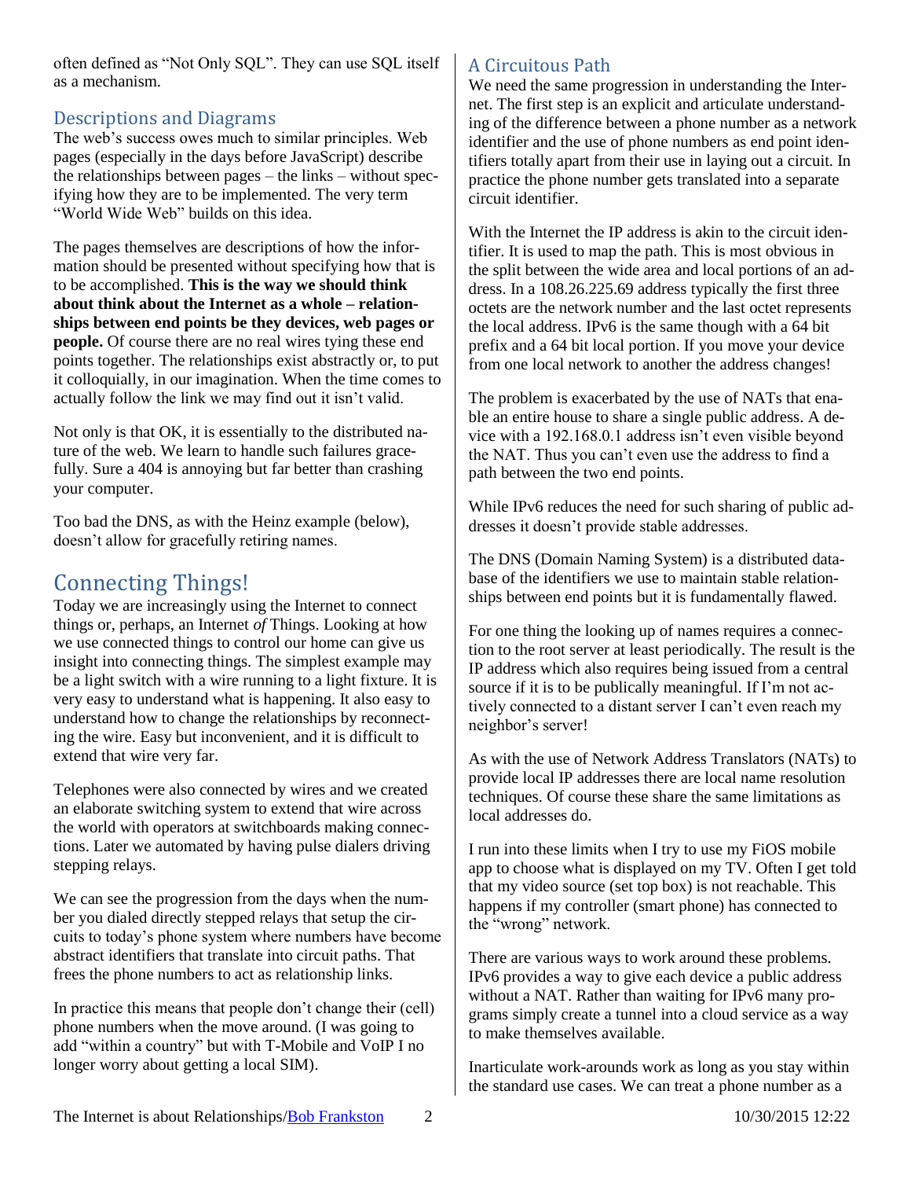often defined as "Not Only SQL". They can use SQL itself as a mechanism.

### Descriptions and Diagrams

The web's success owes much to similar principles. Web pages (especially in the days before JavaScript) describe the relationships between pages – the links – without specifying how they are to be implemented. The very term "World Wide Web" builds on this idea.

The pages themselves are descriptions of how the information should be presented without specifying how that is to be accomplished. **This is the way we should think about think about the Internet as a whole – relationships between end points be they devices, web pages or people.** Of course there are no real wires tying these end points together. The relationships exist abstractly or, to put it colloquially, in our imagination. When the time comes to actually follow the link we may find out it isn't valid.

Not only is that OK, it is essentially to the distributed nature of the web. We learn to handle such failures gracefully. Sure a 404 is annoying but far better than crashing your computer.

Too bad the DNS, as with the Heinz example (below), doesn't allow for gracefully retiring names.

### Connecting Things!

Today we are increasingly using the Internet to connect things or, perhaps, an Internet *of* Things. Looking at how we use connected things to control our home can give us insight into connecting things. The simplest example may be a light switch with a wire running to a light fixture. It is very easy to understand what is happening. It also easy to understand how to change the relationships by reconnecting the wire. Easy but inconvenient, and it is difficult to extend that wire very far.

Telephones were also connected by wires and we created an elaborate switching system to extend that wire across the world with operators at switchboards making connections. Later we automated by having pulse dialers driving stepping relays.

We can see the progression from the days when the number you dialed directly stepped relays that setup the circuits to today's phone system where numbers have become abstract identifiers that translate into circuit paths. That frees the phone numbers to act as relationship links.

In practice this means that people don't change their (cell) phone numbers when the move around. (I was going to add "within a country" but with T-Mobile and VoIP I no longer worry about getting a local SIM).

### A Circuitous Path

We need the same progression in understanding the Internet. The first step is an explicit and articulate understanding of the difference between a phone number as a network identifier and the use of phone numbers as end point identifiers totally apart from their use in laying out a circuit. In practice the phone number gets translated into a separate circuit identifier.

With the Internet the IP address is akin to the circuit identifier. It is used to map the path. This is most obvious in the split between the wide area and local portions of an address. In a 108.26.225.69 address typically the first three octets are the network number and the last octet represents the local address. IPv6 is the same though with a 64 bit prefix and a 64 bit local portion. If you move your device from one local network to another the address changes!

The problem is exacerbated by the use of NATs that enable an entire house to share a single public address. A device with a 192.168.0.1 address isn't even visible beyond the NAT. Thus you can't even use the address to find a path between the two end points.

While IPv6 reduces the need for such sharing of public addresses it doesn't provide stable addresses.

The DNS (Domain Naming System) is a distributed database of the identifiers we use to maintain stable relationships between end points but it is fundamentally flawed.

For one thing the looking up of names requires a connection to the root server at least periodically. The result is the IP address which also requires being issued from a central source if it is to be publically meaningful. If I'm not actively connected to a distant server I can't even reach my neighbor's server!

As with the use of Network Address Translators (NATs) to provide local IP addresses there are local name resolution techniques. Of course these share the same limitations as local addresses do.

I run into these limits when I try to use my FiOS mobile app to choose what is displayed on my TV. Often I get told that my video source (set top box) is not reachable. This happens if my controller (smart phone) has connected to the "wrong" network.

There are various ways to work around these problems. IPv6 provides a way to give each device a public address without a NAT. Rather than waiting for IPv6 many programs simply create a tunnel into a cloud service as a way to make themselves available.

Inarticulate work-arounds work as long as you stay within the standard use cases. We can treat a phone number as a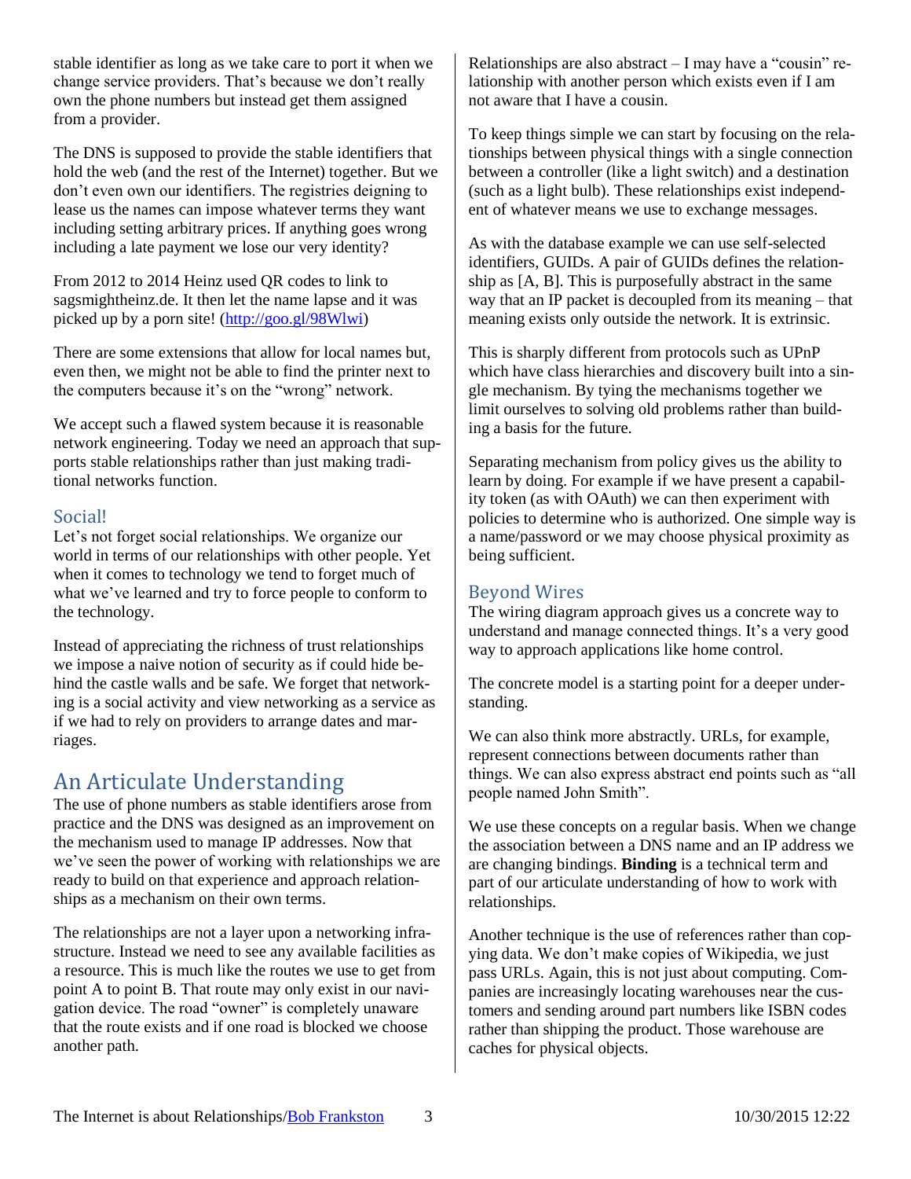stable identifier as long as we take care to port it when we change service providers. That's because we don't really own the phone numbers but instead get them assigned from a provider.

The DNS is supposed to provide the stable identifiers that hold the web (and the rest of the Internet) together. But we don't even own our identifiers. The registries deigning to lease us the names can impose whatever terms they want including setting arbitrary prices. If anything goes wrong including a late payment we lose our very identity?

From 2012 to 2014 Heinz used QR codes to link to sagsmightheinz.de. It then let the name lapse and it was picked up by a porn site! [\(http://goo.gl/98Wlwi\)](http://goo.gl/98Wlwi)

There are some extensions that allow for local names but, even then, we might not be able to find the printer next to the computers because it's on the "wrong" network.

We accept such a flawed system because it is reasonable network engineering. Today we need an approach that supports stable relationships rather than just making traditional networks function.

#### Social!

Let's not forget social relationships. We organize our world in terms of our relationships with other people. Yet when it comes to technology we tend to forget much of what we've learned and try to force people to conform to the technology.

Instead of appreciating the richness of trust relationships we impose a naive notion of security as if could hide behind the castle walls and be safe. We forget that networking is a social activity and view networking as a service as if we had to rely on providers to arrange dates and marriages.

## An Articulate Understanding

The use of phone numbers as stable identifiers arose from practice and the DNS was designed as an improvement on the mechanism used to manage IP addresses. Now that we've seen the power of working with relationships we are ready to build on that experience and approach relationships as a mechanism on their own terms.

The relationships are not a layer upon a networking infrastructure. Instead we need to see any available facilities as a resource. This is much like the routes we use to get from point A to point B. That route may only exist in our navigation device. The road "owner" is completely unaware that the route exists and if one road is blocked we choose another path.

Relationships are also abstract – I may have a "cousin" relationship with another person which exists even if I am not aware that I have a cousin.

To keep things simple we can start by focusing on the relationships between physical things with a single connection between a controller (like a light switch) and a destination (such as a light bulb). These relationships exist independent of whatever means we use to exchange messages.

As with the database example we can use self-selected identifiers, GUIDs. A pair of GUIDs defines the relationship as [A, B]. This is purposefully abstract in the same way that an IP packet is decoupled from its meaning – that meaning exists only outside the network. It is extrinsic.

This is sharply different from protocols such as UPnP which have class hierarchies and discovery built into a single mechanism. By tying the mechanisms together we limit ourselves to solving old problems rather than building a basis for the future.

Separating mechanism from policy gives us the ability to learn by doing. For example if we have present a capability token (as with OAuth) we can then experiment with policies to determine who is authorized. One simple way is a name/password or we may choose physical proximity as being sufficient.

#### Beyond Wires

The wiring diagram approach gives us a concrete way to understand and manage connected things. It's a very good way to approach applications like home control.

The concrete model is a starting point for a deeper understanding.

We can also think more abstractly. URLs, for example, represent connections between documents rather than things. We can also express abstract end points such as "all people named John Smith".

We use these concepts on a regular basis. When we change the association between a DNS name and an IP address we are changing bindings. **Binding** is a technical term and part of our articulate understanding of how to work with relationships.

Another technique is the use of references rather than copying data. We don't make copies of Wikipedia, we just pass URLs. Again, this is not just about computing. Companies are increasingly locating warehouses near the customers and sending around part numbers like ISBN codes rather than shipping the product. Those warehouse are caches for physical objects.